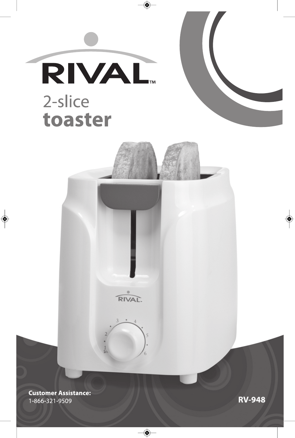





**RIVAL** 

۱

**Customer Assistance:** 1-866-321-9509

**RV-948**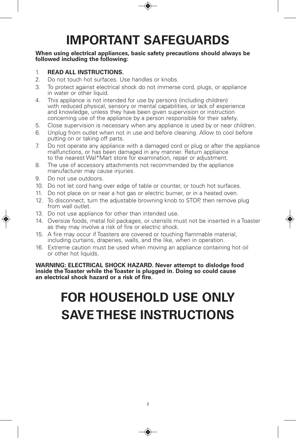# **IMPORTANT SAFEGUARDS**

#### **When using electrical appliances, basic safety precautions should always be followed including the following:**

#### 1. **READ ALL INSTRUCTIONS.**

- 2. Do not touch hot surfaces. Use handles or knobs.
- 3. To protect against electrical shock do not immerse cord, plugs, or appliance in water or other liquid.
- 4. This appliance is not intended for use by persons (including children) with reduced physical, sensory or mental capabilities, or lack of experience and knowledge, unless they have been given supervision or instruction concerning use of the appliance by a person responsible for their safety.
- 5. Close supervision is necessary when any appliance is used by or near children.
- 6. Unplug from outlet when not in use and before cleaning. Allow to cool before putting on or taking off parts.
- 7. Do not operate any appliance with a damaged cord or plug or after the appliance malfunctions, or has been damaged in any manner. Return appliance to the nearest Wal\*Mart store for examination, repair or adjustment.
- 8. The use of accessory attachments not recommended by the appliance manufacturer may cause injuries.
- 9. Do not use outdoors.
- 10. Do not let cord hang over edge of table or counter, or touch hot surfaces.
- 11. Do not place on or near a hot gas or electric burner, or in a heated oven.
- 12. To disconnect, turn the adjustable browning knob to STOP, then remove plug from wall outlet.
- 13. Do not use appliance for other than intended use.
- 14. Oversize foods, metal foil packages, or utensils must not be inserted in a Toaster as they may involve a risk of fire or electric shock.
- 15. A fire may occur if Toasters are covered or touching flammable material, including curtains, draperies, walls, and the like, when in operation.
- 16. Extreme caution must be used when moving an appliance containing hot oil or other hot liquids.

**WARNING: ELECTRICAL SHOCK HAZARD. Never attempt to dislodge food inside the Toaster while the Toaster is plugged in. Doing so could cause an electrical shock hazard or a risk of fire.**

# **FOR HOUSEHOLD USE ONLY SAVE THESE INSTRUCTIONS**

◈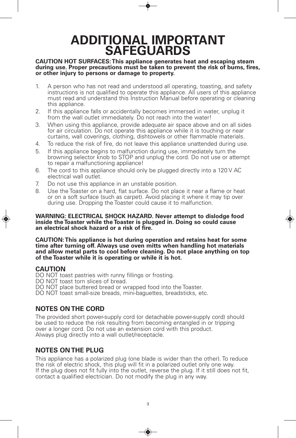# **ADDITIONAL IMPORTANT SAFEGUARDS**

# **CAUTION HOT SURFACES:This appliance generates heat and escaping steam** during use. Proper precautions must be taken to prevent the risk of burns, fires,<br>or other injury to persons or damage to property.

- 1. A person who has not read and understood all operating, toasting, and safety instructions is not qualified to operate this appliance. All users of this appliance must read and understand this Instruction Manual before operating or cleaning this appliance.
- 2. If this appliance falls or accidentally becomes immersed in water, unplug it from the wall outlet immediately. Do not reach into the water!
- 3. When using this appliance, provide adequate air space above and on all sides for air circulation. Do not operate this appliance while it is touching or near curtains, wall coverings, clothing, dishtowels or other flammable materials.
- 4. To reduce the risk of fire, do not leave this appliance unattended during use.
- 5. If this appliance begins to malfunction during use, immediately turn the browning selector knob to STOP and unplug the cord. Do not use or attempt to repair a malfunctioning appliance!
- 6. The cord to this appliance should only be plugged directly into a 120 V AC electrical wall outlet.
- 7. Do not use this appliance in an unstable position.
- 8. Use the Toaster on a hard, flat surface. Do not place it near a flame or heat or on a soft surface (such as carpet). Avoid placing it where it may tip over during use. Dropping the Toaster could cause it to malfunction.

**WARNING: ELECTRICAL SHOCK HAZARD. Never attempt to dislodge food inside the Toaster while the Toaster is plugged in. Doing so could cause an electrical shock hazard or a risk of fire.**

**CAUTION:This appliance is hot during operation and retains heat for some time after turning off. Always use oven mitts when handling hot materials and allow metal parts to cool before cleaning. Do not place anything on top of the Toaster while it is operating or while it is hot.**

#### **CAUTION**

DO NOT toast pastries with runny fillings or frosting.

- DO NOT toast torn slices of bread.
- DO NOT place buttered bread or wrapped food into the Toaster.
- DO NOT toast small-size breads, mini-baguettes, breadsticks, etc.

### **NOTES ON THE CORD**

The provided short power-supply cord (or detachable power-supply cord) should be used to reduce the risk resulting from becoming entangled in or tripping over a longer cord. Do not use an extension cord with this product. Always plug directly into a wall outlet/receptacle.

### **NOTES ON THE PLUG**

This appliance has a polarized plug (one blade is wider than the other). To reduce the risk of electric shock, this plug will fit in a polarized outlet only one way. If the plug does not fit fully into the outlet, reverse the plug. If it still does not fit, contact a qualified electrician. Do not modify the plug in any way.

◈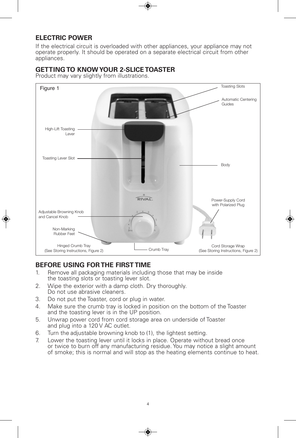## **ELECTRIC POWER**

If the electrical circuit is overloaded with other appliances, your appliance may not operate properly. It should be operated on a separate electrical circuit from other appliances.

#### **GETTING TO KNOWYOUR 2-SLICE TOASTER**

Product may vary slightly from illustrations.



# **BEFORE USING FORTHE FIRST TIME**

- 1. Remove all packaging materials including those that may be inside the toasting slots or toasting lever slot.
- 2. Wipe the exterior with a damp cloth. Dry thoroughly. Do not use abrasive cleaners.
- 3. Do not put the Toaster, cord or plug in water.
- 4. Make sure the crumb tray is locked in position on the bottom of the Toaster and the toasting lever is in the UP position.
- 5. Unwrap power cord from cord storage area on underside of Toaster and plug into a 120 V AC outlet.
- 6. Turn the adjustable browning knob to (1), the lightest setting.
- 7. Lower the toasting lever until it locks in place. Operate without bread once or twice to burn off any manufacturing residue. You may notice a slight amount of smoke; this is normal and will stop as the heating elements continue to heat.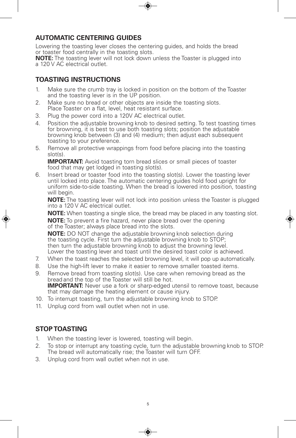### **AUTOMATIC CENTERING GUIDES**

Lowering the toasting lever closes the centering guides, and holds the bread or toaster food centrally in the toasting slots.

**NOTE:** The toasting lever will not lock down unless the Toaster is plugged into a 120 V AC electrical outlet.

### **TOASTING INSTRUCTIONS**

- 1. Make sure the crumb tray is locked in position on the bottom of the Toaster and the toasting lever is in the UP position.
- 2. Make sure no bread or other objects are inside the toasting slots. Place Toaster on a flat, level, heat resistant surface.
- 3. Plug the power cord into a 120V AC electrical outlet.
- 4. Position the adjustable browning knob to desired setting. To test toasting times for browning, it is best to use both toasting slots; position the adjustable browning knob between (3) and (4) medium; then adjust each subsequent toasting to your preference.
- 5. Remove all protective wrappings from food before placing into the toasting slot(s).

**IMPORTANT:** Avoid toasting torn bread slices or small pieces of toaster food that may get lodged in toasting slot(s).

6. Insert bread or toaster food into the toasting slot(s). Lower the toasting lever until locked into place. The automatic centering guides hold food upright for uniform side-to-side toasting. When the bread is lowered into position, toasting will begin.

**NOTE:** The toasting lever will not lock into position unless the Toaster is plugged into a 120 V AC electrical outlet.

**NOTE:** When toasting a single slice, the bread may be placed in any toasting slot. **NOTE:** To prevent a fire hazard, never place bread over the opening of the Toaster; always place bread into the slots.

**NOTE:** DO NOT change the adjustable browning knob selection during the toasting cycle. First turn the adjustable browning knob to STOP;<br>then turn the adjustable browning knob to adjust the browning level. Lower the toasting lever and toast until the desired toast color is achieved.

- 7. When the toast reaches the selected browning level, it will pop up automatically.
- 8. Use the high-lift lever to make it easier to remove smaller toasted items.
- 9. Remove bread from toasting slot(s). Use care when removing bread as the bread and the top of the Toaster will still be hot. **IMPORTANT:** Never use a fork or sharp-edged utensil to remove toast, because that may damage the heating element or cause injury.
- 10. To interrupt toasting, turn the adjustable browning knob to STOP.
- 11. Unplug cord from wall outlet when not in use.

### **STOP TOASTING**

- 1. When the toasting lever is lowered, toasting will begin.
- 2. To stop or interrupt any toasting cycle, turn the adjustable browning knob to STOP. The bread will automatically rise; the Toaster will turn OFF.
- 3. Unplug cord from wall outlet when not in use.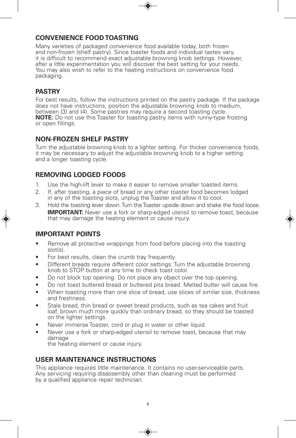### **CONVENIENCE FOOD TOASTING**

Many varieties of packaged convenience food available today, both frozen and non-frozen (shelf pastry). Since toaster foods and individual tastes vary, it is difficult to recommend exact adjustable browning knob settings. However, after a little experimentation you will discover the best setting for your needs. You may also wish to refer to the heating instructions on convenience food packaging.

#### **PASTRY**

For best results, follow the instructions printed on the pastry package. If the package does not have instructions, position the adjustable browning knob to medium, between (3) and (4). Some pastries may require a second toasting cycle. **NOTE:** Do not use this Toaster for toasting pastry items with runny-type frosting or open fillings.

#### **NON-FROZEN SHELF PASTRY**

Turn the adjustable browning knob to a lighter setting. For thicker convenience foods, it may be necessary to adjust the adjustable browning knob to a higher setting and a longer toasting cycle.

#### **REMOVING LODGED FOODS**

- 1. Use the high-lift lever to make it easier to remove smaller toasted items.
- 2. If, after toasting, a piece of bread or any other toaster food becomes lodged in any of the toasting slots, unplug the Toaster and allow it to cool.
- 3. Hold the toasting lever down.Turn theToaster upside down and shake the food loose. **IMPORTANT:** Never use a fork or sharp-edged utensil to remove toast, because that may damage the heating element or cause injury.

#### **IMPORTANT POINTS**

- Remove all protective wrappings from food before placing into the toasting slot(s).
- For best results, clean the crumb tray frequently.
- Different breads require different color settings. Turn the adjustable browning knob to STOP button at any time to check toast color.
- Do not block top opening. Do not place any object over the top opening.
- Do not toast buttered bread or buttered pita bread. Melted butter will cause fire.
- When toasting more than one slice of bread, use slices of similar size, thickness and freshness.
- Stale bread, thin bread or sweet bread products, such as tea cakes and fruit loaf, brown much more quickly than ordinary bread, so they should be toasted on the lighter settings.
- Never immerse Toaster, cord or plug in water or other liquid.
- Never use a fork or sharp-edged utensil to remove toast, because that may damage

the heating element or cause injury.

## **USER MAINTENANCE INSTRUCTIONS**

This appliance requires little maintenance. It contains no user-serviceable parts. Any servicing requiring disassembly other than cleaning must be performed by a qualified appliance repair technician.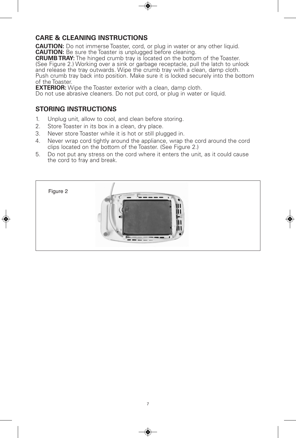#### **CARE & CLEANING INSTRUCTIONS**

**CAUTION:** Do not immerse Toaster, cord, or plug in water or any other liquid. **CAUTION:** Be sure the Toaster is unplugged before cleaning.

**CRUMBTRAY:** The hinged crumb tray is located on the bottom of the Toaster. (See Figure 2.) Working over a sink or garbage receptacle, pull the latch to unlock and release the tray outwards. Wipe the crumb tray with a clean, damp cloth. Push crumb tray back into position. Make sure it is locked securely into the bottom of the Toaster.

**EXTERIOR:** Wipe the Toaster exterior with a clean, damp cloth.

Do not use abrasive cleaners. Do not put cord, or plug in water or liquid.

### **STORING INSTRUCTIONS**

- 1. Unplug unit, allow to cool, and clean before storing.
- 2. Store Toaster in its box in a clean, dry place.
- 3. Never store Toaster while it is hot or still plugged in.
- 4. Never wrap cord tightly around the appliance, wrap the cord around the cord clips located on the bottom of the Toaster. (See Figure 2.)
- 5. Do not put any stress on the cord where it enters the unit, as it could cause the cord to fray and break.

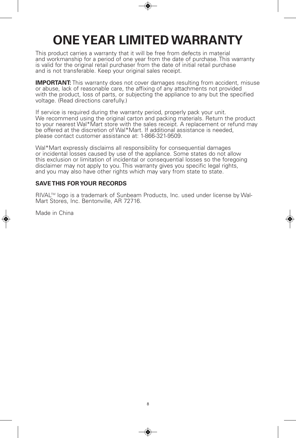# **ONEYEAR LIMITED WARRANTY**

This product carries a warranty that it will be free from defects in material and workmanship for a period of one year from the date of purchase. This warranty is valid for the original retail purchaser from the date of initial retail purchase and is not transferable. Keep your original sales receipt.

**IMPORTANT:** This warranty does not cover damages resulting from accident, misuse or abuse, lack of reasonable care, the affixing of any attachments not provided with the product, loss of parts, or subjecting the appliance to any but the specified voltage. (Read directions carefully.)

If service is required during the warranty period, properly pack your unit.<br>We recommend using the original carton and packing materials. Return the product to your nearest Wal\*Mart store with the sales receipt. A replacement or refund may be offered at the discretion of Wal\*Mart. If additional assistance is needed, please contact customer assistance at: 1-866-321-9509.

Wal\*Mart expressly disclaims all responsibility for consequential damages or incidental losses caused by use of the appliance. Some states do not allow this exclusion or limitation of incidental or consequential losses so the foregoing disclaimer may not apply to you. This warranty gives you specific legal rights, and you may also have other rights which may vary from state to state.

#### **SAVE THIS FORYOUR RECORDS**

RIVAL™ logo is a trademark of Sunbeam Products, Inc. used under license by Wal-Mart Stores, Inc. Bentonville, AR 72716.

Made in China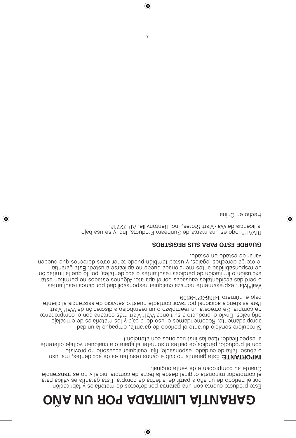# OÑA UU ROA AGATIMIJ AÌTUARAĐ

◈

Guarde su comprobante de venta original. el comprabrim no beste principale desde la fecha el openzio inicial y no es transferible. por el período de un año a partir de la fecha de compra. Esta garantía es valida para Este producto cuenta con una garantía por detectos de materiales y fabricación

al especificado. (Lea las instrucciones con atención.) con el producto, pérdida de partes o someter al aparato a cualquier voltaje diferente o abuso, falta de cuidado responsable, fijar cualquier accesorio no provisto **IMPORTAITE:** Esta garantia no cubre daños resultantes de accidentes, mal uso

.e0de-tsc-008-t onemun le oisd Para asistencials approach to the property of the projector of providing the sistemate is a set al. .trsM\*lsW eb noioenozib s oclodmeen nu o osslqmeen nu sheoento e2 .snqmoo eb originales. Envíe el producto a su tienda Wal\*IsM anna caracana con el comprobante apropiadamente. Recomendamos el uso de la caja y los materiales de embalaje Si requiere servicio durante el periodo de garantía, empaque la unidad

variar de estado en estado. le otorga derechos legales, y usted también puede tener otros derechos que pueden sitnstag sta3. betau s earsoilgs on ebeug sbanoionem zetns babilidsanogen eb exclusión o limitación de pérdidas resultantes o accidentales, por lo que la limitación effetiment accidents accepted by the product of light of the school no permitten esta Wal\*Mart expresamente rechasa cualquier responsabilidad por daños resultantes

#### COMTRIBER SUS ARAS OTSE BEGISTROS

la licencia de Wal-Mart Stores, Inc. Bentonville, AR 72716. RIVAL<sup>TM</sup> logo es una marca de Sunbeam Products, lnc. y se usa bajo

Hecho en China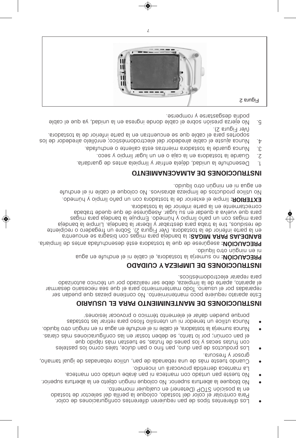- Los diferentes tipos de pan requieren diferentes configuraciones de color. Para controlar el color del tostado, coloque la perilla del selector de tostado en la posición STOP (Detener) en cualquier momento.
- .roited a abertura superior. No coloque ningún objeto en la abertura superior.
- . Boet na mand o cou manteca ni papi acet nu nauteca.
- La manteca derretida provocará un incendio. loña mat laugi eb sabanaden epilitu ang eb abanaden anu eb sàm etzeut obnau grosor y frescura.
- Fos bioquetos ap buy und in ould be used as equals to passed as soloring to solor in the solor in the solor p so eup obiqui sàm nat seut es, saturi eb senaq zol y saces saturi noc
- el pan común; por lo tanto, se deben tostar en las contiguraciones más claras. . obiupil orto núgnin nei in supe ne eturba el ei notat el ani en mus ano atro líquido.
- sabat sal r arit er a colit oili and nu in nobenet nu ecilitu sonul
- porque pueden dañar el elemento térmico o provocar lesiones<sup>.</sup>

# **INSTRUCCIONES DE MANTENIMIENTO PARA EL USUARIO**

Este aparato requiere poco mantenimiento. No contiene piezas que puedan ser reparadas por el usuario. Iodo mantennmento para el que sea necesario desarmar el aparato, aparte de la limpieza, debe ser realizado por un técnico autorizado<br>para reparar electrodomésticos.

# **INCLISIONES DE FIMPIEZAY Y CUIDADO**

**PRECAUCION:** no sumerja la tostadora, el cable ni el enchufe en agua

. obiupìl otto nùgnin ne in PRECAUCIÓN: asegúrese de que la tostadora esté desenchuada antes de limpiarla. art neucne es ar gasi b noc sagi mar ap aj ednab al **: SAGI MARAP SAJEDNAB**

en la parte inferior de la tostadora. (L' engli Fredrich Avio Frederico d' recipiente aj eh maj ar ei produk ar ei p mi coupisar approach as epiden as epiden as epiden as epiden and al approach a sagim sag aj el ejuqm3 .obemùn y oiqmil oñaq nu noo zagim sag bara dabart edeus eu regar us ner eus eser úsea eu en equeque a rapsque . arobataot al eb noitetni etra al ne etraentation

EXTERIOR: limpie el exterior de la tostadora con un paño limpio y húmedo.

efundo el cable en el limpieza azori colo o N. sovi sar azordi el sot a enchufe . obiupil otto núgnin na in suga na

# **MATRUCCIONES DE ALMACENAMIENTO**

- $\Gamma$  Desenchufe la unidad, dejela algrit v limpiela antes de guardarla.
- . Guarde la footation agus a primil agus an mil and acco.
- . S. Uunca guarde la lebata mientrae está caliente o enchufada.
- 4. Nunca ajuste el cable alrededor del electrodoméstico; enrillelo alrededor de los strated back and end appear on the settle source in the idential appears. .(S  $sin$ gura 2).
- E. No ejerza presión sobre el cable donde ingresa en la unidad, ya que el cable podría desgastarse y romperse.

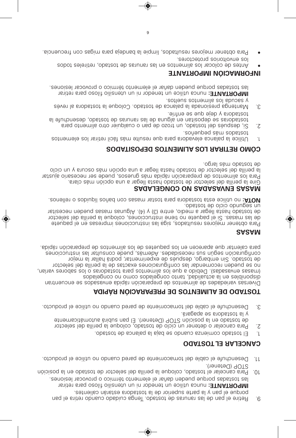- 9. Parite el pan de las rannras de basas en el enganto de la suita el pan en el . 9 porque el pan y la parte superior de la tostadora estarán calientes. **rent E:** nunca utilice un tenedor nu in utensilio ficioso para retirar . senoi sel readen da en en el el el energio en el expertisor sal nói ci so al de la forza de la palado coloque la perllir ed al eslector de tostado en la posición
- $SIOP$  (Detener). 11. Desenchufe el cable del tomacorriente de pared cuando no utilice el producto.

# **OGATSOT JE RALECTADO**

- . Chested ap an also edge as obnauly as about the source of  $E = \frac{1}{2}$ .
- 2 Para cancelar o detener un ciclo de tostado, coloque la perilla del selector et ne macit and a morigies and actional and a more identicated with energy energy and results are operated and  $\epsilon$ . énagada es anobataot al y
- $3.$  Desenchufe el cable del tomacorriente de pared cuando no utilice el producto.

# **ADI PÁR NÓI CARAPERP ED SOT NE MI L AED ODATSOT**

nart neucne es sopesavne abiqà nóios aque de sot nemils eb sebabeirav as revid sobal egnoc on omoc zobal egnoc otnat , babilauto al ne sel dinoquib mair av ser opas sol o sar obat sot are approached and a colled also see the sasam r ot cel es all es allied all es compliqued continuations and religious espector de tostado. Sin embargo, después de experimentar, podrí à hallar la mejor senoioounzani sal nsiluznoo ebeuq, asámebA. sebabiasoen auz núges nóiosiuginoo . abige noi care approach a care mille sol ed set eupe que ne mes euque approach rápida.

# **SASA M**

Para obtener mejores resultados, sola para senoi contre sua energidade en el paquete re las masas. Si el paquete no tiene instrucciones, coloque la perilla del selector rsties on nedeup a medio, erre is an  $\mathbb{R}^3$  / (2) erre is needed at a satisfyer details are some  $\mathbb{R}^3$ . obstaot eb oloio obnuges nu

**.** soneller o sobiupil soñad noc assam nateot and anobated at a sollitu on **ATOU** 

Gire la perilla del selector de tostado hasta llegar a una opción más clara.<br>Gire la perilla del selector de tostado hasta llegar a una opción más clara. Para los alimentos de preparación rápida más gruesos, puede ser necesario ajustar la perilla del selector de tostado hasta llegar a una opción más oscura y un ciclo .og al sám obst ao so

# **SODATI SOPED SOT NE MI L A SOL RARI TER O MÓC**

- $\frac{1}{2}$  Usingless are metally cannot be user that in approximation is approximated as  $\frac{1}{2}$  . If . soñeupeq sám sobatzot
- are appressible to contact or extract or extract of the other order order or estably contact paral subset of  $\sim$  2. to show as de dependence of each sot edge. An analysis edge is edge. tostadora y deje due se entríe.
- sèven la arobatzot al eupolo C. obatzot eb aprile al abanoizeng agnet na M. S. . sotleus sotnemils sol abupes y

**rent E:** nunca utilice un tenedor nu in utensilio filoso para retirar las to solo sel o porque predeu que de elemento tranco o provocar lesiones.

# **EXAMPLE MI NDOBJANIE**

- Antes de colocar los abrentes en las remunes de setado, relectivadas españa los envoltorios protectores.
- Para obtener mejores resultaobal, limpie la banda para muigas con frecuencia.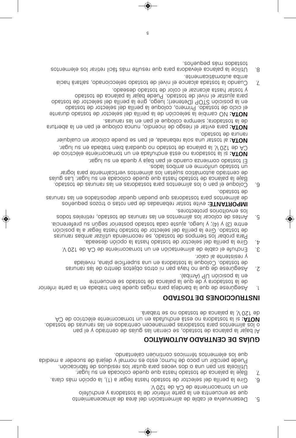- 5. Desenvuelva el cable de alimentación del área de almacenamiento que se encuentra en la parte interior de la tostadora y enchutelo . V 021 ed AC ed et neirr oca mot nu ne
- . Gire la perilla del selector de tostado hasta llegar al  $(1)$ , la opción más clara. T agul us ne absolop ebeup eup staan obataot eb anal aquat .7
- . nói cacir da soudi ser sol rati up and a secevre solo anu nap ni s al eclient U Puede percibir un poco de humo; esto es normal y dejará de suceder a medida que los elementos tocimicos continuidas en el enpre

# **ODITÀMOTUA OGAATIVED EQ RAÍUD**

Al bajar la polarca ep saí ug sal narreio es , obat ao acorda al rejad IA . obstzot eb zarunar zal ne zobartneo neoenamieg zarobatzot araq zotnemila zol o AC eb opitoele et neirropemot nu ne abstudone àtes on stobateot al ia : **ATOU** . éredert es on obatzot eb sonal aq al ,V 0S1 eb

### **INSTRUCCIONES DE TOSTADO**

- 10 retress approach a letter and eigenvalue and a federal end and end and end and the retrievance of  $\mu$ ert neucne de de an encoeption and entire entirements .(adinA) 9U nòioizoq al ne
- sar una red de ort ned sot eigen on the source of establishment same as a series and series and series and ser abal evid a ei chadra properts and are appelient and suppose an ended so y resistente al calor.
- 3. Enchufe el cable de alimentación en un tomacorriente de AO es ne 120 y
- . Gire la perilla del selector de tostado haza al edicio deseada. Para probar los tiempos el tostado, se recomiendo usidir as aportas cire is languare left and a religious chains are alleger and consider the posicious edge in  $\alpha$  is alleger and  $\alpha$  and  $\alpha$  and  $\alpha$  and  $\alpha$  and  $\alpha$  and  $\alpha$  and  $\alpha$  and  $\alpha$  and  $\alpha$  and  $\alpha$  and  $\alpha$  and  $\alpha$  and  $\$ entre (3) y (4); y luego, aluste cada tostado posterior según su preferencia.
- sobot eeleniter obat sot een man sal use on the sot edge soloop as een alleed to soloop and such a soloop and s los envoltorios protectores.

**BULICE:** evite tostar rebanadas de pan rotas o trozos pequeños sar una rel ne sopetizo debud nadeud eup sar obat ar ap le randi e b .obst201 eb

. obsteot eb sarunar asl ne astobsteot areq sotnemils and o naq le eupolo . . a saí ug sal idio sa la dare adaction de deuq equocada eu sah lugar. Las guías re centrago artomático arte in a sot ne mento sot ne receita de lograr . sobal sodms ne emiotinu obstzot nu

El tostado comienza cuando el pap de la peda na papa radio da sua lugar.

ed ocitioale et neirropemot nu ne abatudone àt a o an arobataot al ia : ATOU . The duming on obstrop and all of the AC and action the angle in the AC **r except.** al tostar una sola rebanada, el pan se puede colocar en cualquier .obstaot eb sunnst

**ar utrance all the sensul endomedies** in the endome equal the sperifier and a sperifier and  $\alpha$  is apply and  $\alpha$ de la tostadora; siempre coloque el pan en las ranuras.

et nar ud cambie la selección de la perilla del selector de tostado durante el ciclo de tostado. Primero, coloque la perilla del selector de tostado en la posición STOP (Detener), luego, gire la perilla del selector de tostado para ajustar el nivel de tostado. Puede bajar la palanca de tostado

- y tostar hasta alcanzar el color de tostado deseado. Ei cah ár atl as a control es operacions and exist a control and solid exist a paragree of  $\alpha$ . et ne macit and a morte.
- sot ue mel e sol r arit er li cát sámetles ar ap an ap ar ap an ap an ap an ap an experience an ap an app sou<br>sou app ag a sou appropriate the appropriate soul appropriate soul app soul and soppract soul app soul and so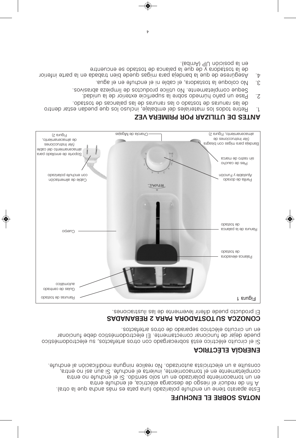# **EF UHCNE LE ERBOS SATON**

Este approach an encyclopted and the capacity of the set and a original operations of  $\epsilon$ A fin de reducir el riesgo de descarga eléctrica, el enchufe entra en un tomacorriente polazir nes originals ou capacitation entrancement una completamente en el tomacorrienta, invierta le atricha is nei a sur entra, consulte a un electriciate at constant do realice numeral and activitate and anoncel at the numer cell and the

# **ENERGÍA ELÉCTRICA**

Si el circuito eléctrico está sobrecargado con otros artefactos, su electrodoméstico puede dejar de funcionar correctamente. El electrodoméstico debe funcionar en un circuito electrico separado de ocupar e apesare contractos.

**ERARER SAURABERR IS <b>ARAP** ARABAR **DEBADADER**<br>El producto puede diferir levemente de las ilustizaciones.



# **ZEV ARE MI RP ROP RAZI LI T UED SET NA**

- 1. Setire todos los materiales del embalaje, incluso los que puedan estar dentro . obat sot ed sacnal ap sal ed sar unar sal o obat sot ed sar unar sal ed
- 2. Pase un paño húmedo sobre la superficie exterioridad.
- sovi sar ba azi ed mente. No utilice productos ba materiale abrasivos. 3. No coloque la tostadora, el cable ni el enchufe en el agua.
- roite at etre appear and epend and saginal stag algebred al eup eb eserupea $A$ .  $A$
- ert neucle y ap ap an ed a conset and approach a southern approach as  $\alpha$ .(adinA) qU nòioizoq al ne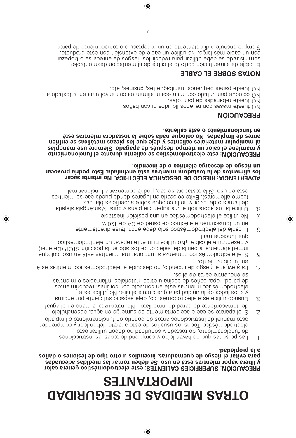# **READ MATES GAGIRUDES EQ SAGIGEM SARTO**

◈

a la propiedad. para evitar el riesgo de quema als assubtantes u otro tipo de lesiones o daños y libera vapor mientras está en uso. Se deben tomar las medidas adecuadas PRECAUCION, SUPERFICIES CALIENTES: este electrodoméstico genera calor

- olisiqmil o ofneimsnoionut ne olienoq eb zefna senoiooutizni eb launanio. electrodoméstico. Iodos los usuarios de este aparato deben leer y comprender de tuncionamiento, de tostado y seguridad no deben utilizar este Las personas que no hayan leido y comprendido todas las instrucciones ίĽ.
- Cuando utilice este electrodoméstico, deje espacio suficiente por encima .ε leuge le ne onem al soxubontni oVi .otaibemni eb benaq eb etneimosamot leb  $\cdot$ 7 Si el aparato se cae o accidentalmente se sumerge en agua, desenchidio
- se encuentre cerca de ellos. zertneim o zeldsmaltni zelsinetsm zorto u snipop eb zoñsq "sqon "bensq eb electrodoméstico mientras esté en contacto con cortinas, recubrimientos 9 a los lados de la unidad para que circule el aire. No utilice este
- otneimsnoionut ne Para estitueim opitaèmobottoele le ebiuozeb on ,oibneoni eb opzeit le tstive stse  $\cdot \mathcal{V}$
- que funciona mal! y desenchufe el cable. ¡No utilice ni intente reparar un electrodoméstico (nenetal) POTS noision al ne obsteot ab notoales lab allinaq al etraneribamni Si el electrodoméstico comienza a funcionar mal mientras está en uso, coloque ٠Ğ
- en un tomacorriente eléctrico de pared de CA de 120 V. El cable del electrodoméstico sólo debe enchufarse directamente ۰9
- Alo utilice el electrodoméstico en una posición inestable. Ż
- . Ism nanoionut a nasnemoo sinboq , eso es snobsteot al iC .ozu ne stae como alfombras). Evite colocarla en lugares donde pueda caerse mientras de llamas o del calor y no la coloque sobre superficies blandas Utilice la tostadora sobre una superficie plana y dura. Manténgala alejada .8

#### un riesgo de descarga eléctrica o de incendio. los alimentos de la tostadora mientras està enchutada. Esto podria provocar ADVERTENCIA: RIESGO DE DESCARGA ELÉCTRICA. No intente sacar

en funcionamiento o esté caliente. artes de limpiarlas. No coloque nada sobre la tostadora mientras esté al manipular materiales calientes y deje que las piezas metálicas se entrien y mantiene el calor un tiempo después de apagado. Siempre use manoplas PRECAUCION: este electrodoméstico se calienta durante el funcionamiento

# **PRECAUCIÓN**

.coñsd noo in sobiupìl zonellen noo zsasm etaeut ON

estor ned eb asbanader et aut ON.

NO tueste panes pequegneum apprettes, grisines, etc. . stobated al ne satulovne noo zotnemila in soetnam noo obatnu naq eupoloo OM

# **SAUS SOBRE EL CABLE**

Siempre enchifelo directamente en un receptáculo o tomacorriente de pared. con un cable más largo. No utilice un cable de extensión con este producto. suministrado se debe utilizar para reducir los riesgos de enredarse o tropezar El cable de alimentación corto (o el cable de alimentación desmontable)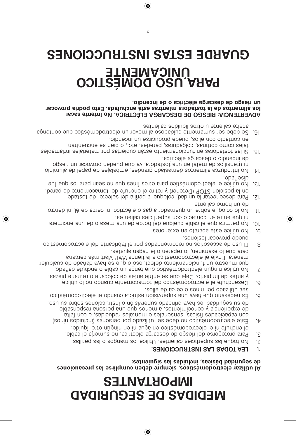# **READ MATES MEDIDAS DE SEGURIDAD**

◈

#### aegunidad basicas, incluidas las siguientes: Al utilizar electrodomésticos, siempre deben cumplirse las precauciones

#### LEA TODAS LAS INSTRUCCIONES. J.

- No toque las superficies calientes. Utilice los mangos o las perillas. İζ
- el enchute ni el electrodomestico en agua ni en migún otro liquido. Para protegerse del riesgo de descarga eléctrica, no sumerja el cable, İΣ
- osu us endos senoicountani o noisivheque obabnind sysnael babinupes us ebde experiencia y conocimientos, a menos que una persona responsable stilat noo o , asbiouben eelstnem o zelsinoznes , asoialt zebabiosquo noo Este electrodoméstico no debe ser utilizado por personas (incluidos niños) `t
- solle eb sones o soñin nog obasilitu ses Es necesario que haya una supervisión estricta cuando el electrodoméstico .d
- y antes de limpiarlo. Deje que se entríe antes de colocarle o retirarle piezas. Desenchufe el electrodoméstico del tomacorriente cuando no lo utilice ۰9
- para que lo examinen, lo reparen o le hagan ajustes. manera. Envíe el electrodoméstico a la tienda Wal\*IMart más cercana que muestre un funcionamiento defectuoso o que se haya dañado de cualquier No utilice ningún electrodoméstico que tenga un cable o enchufe dañado, Ż
- puede provocar lesiones. El uso de accesorios no recomendados por el fabricante del electrodoméstico .8
- No utilice este aparato en exteriores.  $-6$
- ni que entre en contacto con superficies calientes. No permita que el cable cuelgue del borde de una mesa o de una encimera  $.01$
- de un horno caliente. No lo coloque sobre un quemador a gas o eléctrico, ni cerca de él, ni dentro "LL
- boned al opticion of Detener) y retire el enchufe del tomacorrienta de pared. Para desconectar la unidad, coloque la perilla del selector de tostado .SI
- .obsnaelo. but the electrodomization and same in the sean paral band on the fue .sr
- de incendio o descarga eléctrica. ni utensilios de metal en una tostadora, ya que pueden provocar un riesgo oinimuls eb leqsq eb zeisladme , zebnstg obsizemeb zotnemils sozubottni oV . Al
- en contacto con ellos, puede producirse un incendio. tales como cortinas, colgaduras, paredes, etc., o bien se encuentran seldsmsltni zelsinetsm tog satteidup nåtae otneimsnotorut ne satobstasot sal iZ .ar
- aceite caliente u otros líquidos calientes. 16. Se debe ser sumamente cuidadoso al mover un electrodoméstico que contenga

un riesgo de descarga eléctrica o de incendio. los alimentos de la tostadora mientras está enchufada. Esto podría provocar ADVERTENCIA: RIESGO DE DESCARGA ELÉCTRICA. No intente sacar

# GUARDE ESTAS INSTRUCCIONES **UNICAMENTE DARA USO DOMÉSTICO**

 $\varsigma$